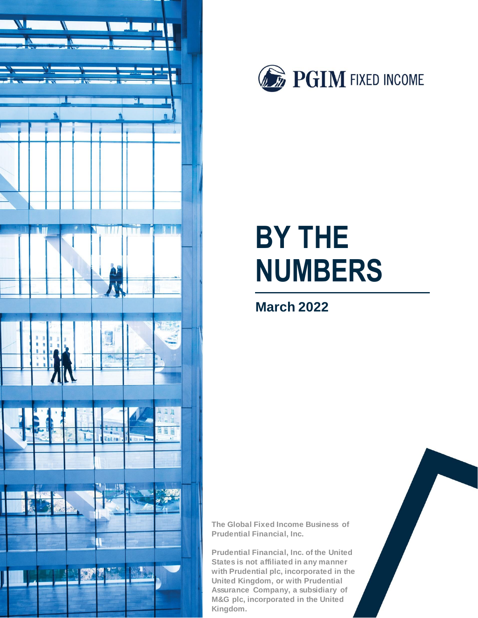



# **BY THE NUMBERS**

## **March 2022**

**The Global Fixed Income Business of Prudential Financial, Inc.** 

**Prudential Financial, Inc. of the United States is not affiliated in any manner with Prudential plc, incorporated in the United Kingdom, or with Prudential Assurance Company, a subsidiary of M&G plc, incorporated in the United Kingdom.**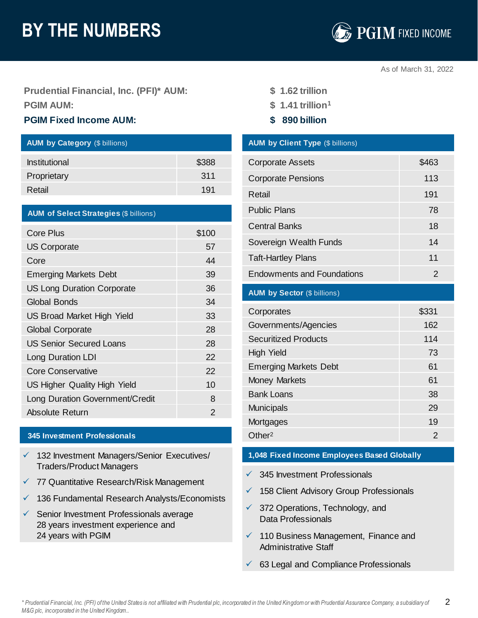## **BY THE NUMBERS**



As of March 31, 2022

**Prudential Financial, Inc. (PFI)\* AUM: \$ 1.62 trillion PGIM AUM: \$ 1.41 trillion<sup>1</sup>**

## **PGIM Fixed Income AUM: \$ 890 billion**

| <b>AUM by Category (\$ billions)</b> |       |
|--------------------------------------|-------|
| <b>Institutional</b>                 | \$388 |
| Proprietary                          | 311   |
| Retail                               | 191   |

| <b>AUM of Select Strategies (\$ billions)</b> |       |
|-----------------------------------------------|-------|
| Core Plus                                     | \$100 |
| <b>US Corporate</b>                           | 57    |
| Core                                          | 44    |
| <b>Emerging Markets Debt</b>                  | 39    |
| <b>US Long Duration Corporate</b>             | 36    |
| <b>Global Bonds</b>                           | 34    |
| <b>US Broad Market High Yield</b>             | 33    |
| <b>Global Corporate</b>                       | 28    |
| <b>US Senior Secured Loans</b>                | 28    |
| Long Duration LDI                             | 22    |
| <b>Core Conservative</b>                      | 22    |
| US Higher Quality High Yield                  | 10    |
| Long Duration Government/Credit               | 8     |
| Absolute Return                               | 2     |

## **345 Investment Professionals**

- ✓ 132 Investment Managers/Senior Executives/ **1,048 Fixed Income Employees Based Globally** Traders/Product Managers
- ✓ 77 Quantitative Research/Risk Management
- ✓ 136 Fundamental Research Analysts/Economists
- ✓ Senior Investment Professionals average 28 years investment experience and 24 years with PGIM
- 
- 
- 

## **AUM by Client Type (\$ billions)**

| <b>Corporate Assets</b>           | \$463 |
|-----------------------------------|-------|
| <b>Corporate Pensions</b>         | 113   |
| Retail                            | 191   |
| <b>Public Plans</b>               | 78    |
| <b>Central Banks</b>              | 18    |
| Sovereign Wealth Funds            | 14    |
| <b>Taft-Hartley Plans</b>         | 11    |
| <b>Endowments and Foundations</b> | 2     |

### **AUM by Sector** (\$ billions)

| Corporates                   | \$331 |
|------------------------------|-------|
| Governments/Agencies         | 162   |
| <b>Securitized Products</b>  | 114   |
| High Yield                   | 73    |
| <b>Emerging Markets Debt</b> | 61    |
| <b>Money Markets</b>         | 61    |
| <b>Bank Loans</b>            | 38    |
| <b>Municipals</b>            | 29    |
| Mortgages                    | 19    |
| Other <sup>2</sup>           | 2     |

- $\sqrt{345}$  Investment Professionals
- ✓ 158 Client Advisory Group Professionals
- $\checkmark$  372 Operations, Technology, and Data Professionals
- ✓ 110 Business Management, Finance and Administrative Staff
- ✓ 63 Legal and Compliance Professionals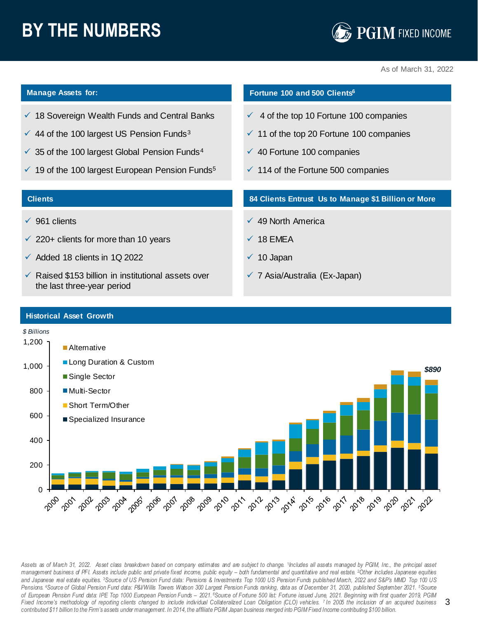## **BY THE NUMBERS**



As of March 31, 2022

- ✓ 18 Sovereign Wealth Funds and Central Banks
- $\checkmark$  44 of the 100 largest US Pension Funds<sup>3</sup>
- $\checkmark$  35 of the 100 largest Global Pension Funds<sup>4</sup>
- $\checkmark$  19 of the 100 largest European Pension Funds<sup>5</sup>

### **Clients**

- ✓ 961 clients
- $\checkmark$  220+ clients for more than 10 years
- $\checkmark$  Added 18 clients in 1Q 2022
- $\checkmark$  Raised \$153 billion in institutional assets over the last three-year period

## **Manage Assets for: Fortune 100 and 500 Clients<sup>6</sup>**

- $\checkmark$  4 of the top 10 Fortune 100 companies
- $\checkmark$  11 of the top 20 Fortune 100 companies
- ✓ 40 Fortune 100 companies
- $\checkmark$  114 of the Fortune 500 companies

## **84 Clients Entrust Us to Manage \$1 Billion or More**

- 49 North America
- ✓ 18 EMEA
- $\sqrt{ }$  10 Japan
- ✓ 7 Asia/Australia (Ex-Japan)



Assets as of March 31, 2022. Asset class breakdown based on company estimates and are subject to change. 1Includes all assets managed by PGIM, Inc., the principal asset management business of PFI. Assets include public and private fixed income, public equity – both fundamental and quartitative and real estate. <sup>2</sup>Other includes Japanese equities and Japanese real estate equities. <sup>3</sup>Source of US Pension Fund data: Pensions & Investments Top 1000 US Pension Funds published March, 2022 and S&P's MMD Top 100 US Pensions. 4Source of Global Pension Fund data: P&I/Willis Towers Watson 300 Largest Pension Funds ranking, data as of December 31, 2020, published September 2021. 5Source of European Pension Fund data: IPE Top 1000 European Pension Funds - 2021. <sup>6</sup>Source of Fortune 500 list: Fortune issued June, 2021. Beginning with first quarter 2019, PGIM Fixed Income's methodology of reporting clients changed to include individual Collateralized Loan Obligation (CLO) vehicles. 7 In 2005 the inclusion of an acquired business contributed \$11 billion to the Firm's assets under management. In 2014, the affiliate PGIM Japan business merged into PGIM Fixed Income contributing \$100 billion.